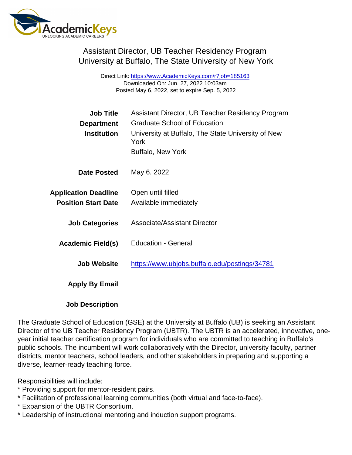Assistant Director, UB Teacher Residency Program University at Buffalo, The State University of New York

> Direct Link: <https://www.AcademicKeys.com/r?job=185163> Downloaded On: Jun. 27, 2022 10:03am Posted May 6, 2022, set to expire Sep. 5, 2022

| <b>Job Title</b>            | Assistant Director, UB Teacher Residency Program           |
|-----------------------------|------------------------------------------------------------|
| Department                  | <b>Graduate School of Education</b>                        |
| Institution                 | University at Buffalo, The State University of New<br>York |
|                             | <b>Buffalo, New York</b>                                   |
| Date Posted                 | May 6, 2022                                                |
| <b>Application Deadline</b> | Open until filled                                          |
| <b>Position Start Date</b>  | Available immediately                                      |
| <b>Job Categories</b>       | <b>Associate/Assistant Director</b>                        |
| Academic Field(s)           | <b>Education - General</b>                                 |
| Job Website                 | https://www.ubjobs.buffalo.edu/postings/34781              |
| Apply By Email              |                                                            |
|                             |                                                            |

Job Description

The Graduate School of Education (GSE) at the University at Buffalo (UB) is seeking an Assistant Director of the UB Teacher Residency Program (UBTR). The UBTR is an accelerated, innovative, oneyear initial teacher certification program for individuals who are committed to teaching in Buffalo's public schools. The incumbent will work collaboratively with the Director, university faculty, partner districts, mentor teachers, school leaders, and other stakeholders in preparing and supporting a diverse, learner-ready teaching force.

Responsibilities will include:

- \* Providing support for mentor-resident pairs.
- \* Facilitation of professional learning communities (both virtual and face-to-face).
- \* Expansion of the UBTR Consortium.
- \* Leadership of instructional mentoring and induction support programs.